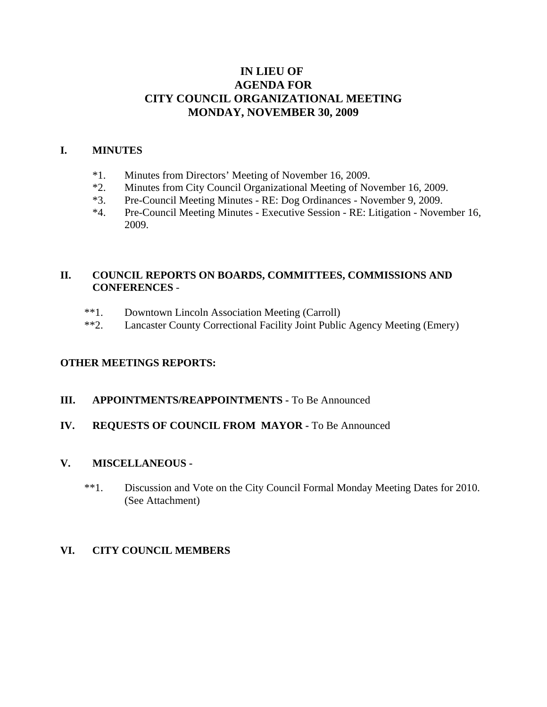# **IN LIEU OF AGENDA FOR CITY COUNCIL ORGANIZATIONAL MEETING MONDAY, NOVEMBER 30, 2009**

### **I. MINUTES**

- \*1. Minutes from Directors' Meeting of November 16, 2009.
- \*2. Minutes from City Council Organizational Meeting of November 16, 2009.
- \*3. Pre-Council Meeting Minutes RE: Dog Ordinances November 9, 2009.
- \*4. Pre-Council Meeting Minutes Executive Session RE: Litigation November 16, 2009.

## **II. COUNCIL REPORTS ON BOARDS, COMMITTEES, COMMISSIONS AND CONFERENCES** -

- \*\*1. Downtown Lincoln Association Meeting (Carroll)
- \*\*2. Lancaster County Correctional Facility Joint Public Agency Meeting (Emery)

#### **OTHER MEETINGS REPORTS:**

### **III. APPOINTMENTS/REAPPOINTMENTS -** To Be Announced

#### **IV. REQUESTS OF COUNCIL FROM MAYOR -** To Be Announced

#### **V. MISCELLANEOUS -**

 \*\*1. Discussion and Vote on the City Council Formal Monday Meeting Dates for 2010. (See Attachment)

## **VI. CITY COUNCIL MEMBERS**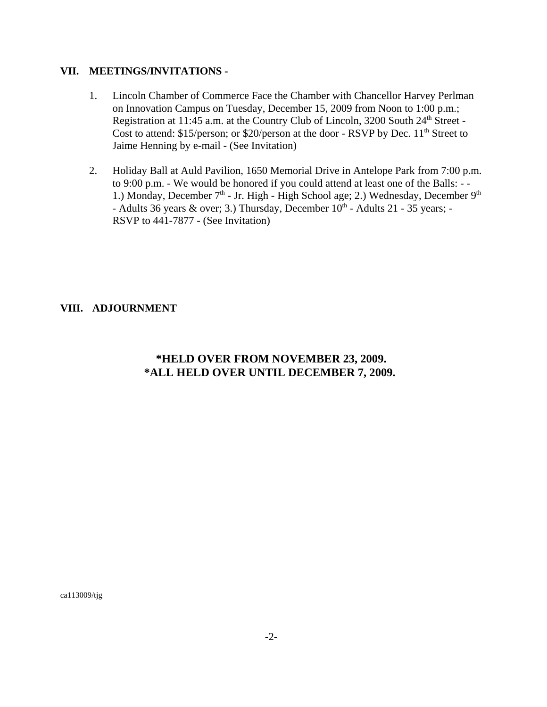### **VII. MEETINGS/INVITATIONS -**

- 1. Lincoln Chamber of Commerce Face the Chamber with Chancellor Harvey Perlman on Innovation Campus on Tuesday, December 15, 2009 from Noon to 1:00 p.m.; Registration at 11:45 a.m. at the Country Club of Lincoln, 3200 South 24<sup>th</sup> Street -Cost to attend:  $$15/person$ ; or  $$20/person$  at the door - RSVP by Dec.  $11<sup>th</sup> Street$  to Jaime Henning by e-mail - (See Invitation)
- 2. Holiday Ball at Auld Pavilion, 1650 Memorial Drive in Antelope Park from 7:00 p.m. to 9:00 p.m. - We would be honored if you could attend at least one of the Balls: - - 1.) Monday, December  $7<sup>th</sup>$  - Jr. High - High School age; 2.) Wednesday, December  $9<sup>th</sup>$ - Adults 36 years & over; 3.) Thursday, December  $10^{th}$  - Adults 21 - 35 years; -RSVP to 441-7877 - (See Invitation)

## **VIII. ADJOURNMENT**

# **\*HELD OVER FROM NOVEMBER 23, 2009. \*ALL HELD OVER UNTIL DECEMBER 7, 2009.**

ca113009/tjg